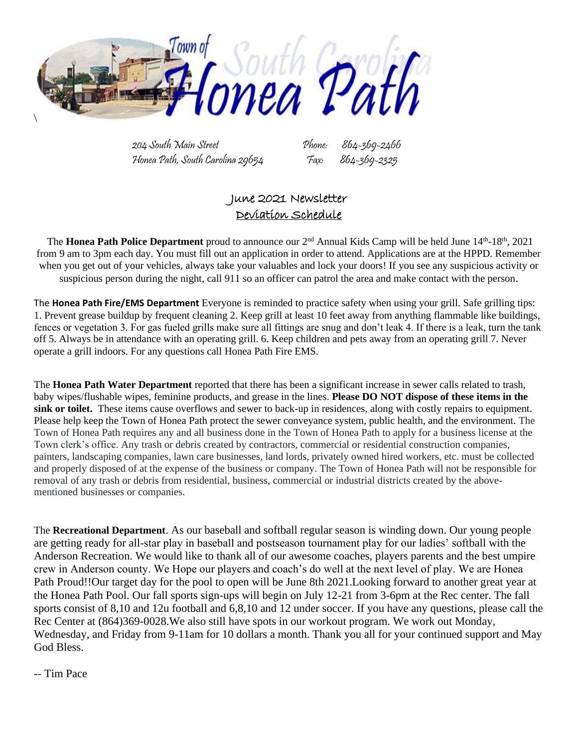

204 South Main Street Phone: Honea Path, South Carolina 29654 Fax: 864-369-2325

# June 2021 Newsletter Deviation Schedule

The **Honea Path Police Department** proud to announce our 2<sup>nd</sup> Annual Kids Camp will be held June 14<sup>th</sup>-18<sup>th</sup>, 2021 from 9 am to 3pm each day. You must fill out an application in order to attend. Applications are at the HPPD. Remember when you get out of your vehicles, always take your valuables and lock your doors! If you see any suspicious activity or suspicious person during the night, call 911 so an officer can patrol the area and make contact with the person.

The **Honea Path Fire/EMS Department** Everyone is reminded to practice safety when using your grill. Safe grilling tips: 1. Prevent grease buildup by frequent cleaning 2. Keep grill at least 10 feet away from anything flammable like buildings, fences or vegetation 3. For gas fueled grills make sure all fittings are snug and don't leak 4. If there is a leak, turn the tank off 5. Always be in attendance with an operating grill. 6. Keep children and pets away from an operating grill 7. Never operate a grill indoors. For any questions call Honea Path Fire EMS.

The **Honea Path Water Department** reported that there has been a significant increase in sewer calls related to trash, baby wipes/flushable wipes, feminine products, and grease in the lines. **Please DO NOT dispose of these items in the sink or toilet.** These items cause overflows and sewer to back-up in residences, along with costly repairs to equipment. Please help keep the Town of Honea Path protect the sewer conveyance system, public health, and the environment. The Town of Honea Path requires any and all business done in the Town of Honea Path to apply for a business license at the Town clerk's office. Any trash or debris created by contractors, commercial or residential construction companies, painters, landscaping companies, lawn care businesses, land lords, privately owned hired workers, etc. must be collected and properly disposed of at the expense of the business or company. The Town of Honea Path will not be responsible for removal of any trash or debris from residential, business, commercial or industrial districts created by the abovementioned businesses or companies.

The **Recreational Department**. As our baseball and softball regular season is winding down. Our young people are getting ready for all-star play in baseball and postseason tournament play for our ladies' softball with the Anderson Recreation. We would like to thank all of our awesome coaches, players parents and the best umpire crew in Anderson county. We Hope our players and coach's do well at the next level of play. We are Honea Path Proud!!Our target day for the pool to open will be June 8th 2021.Looking forward to another great year at the Honea Path Pool. Our fall sports sign-ups will begin on July 12-21 from 3-6pm at the Rec center. The fall sports consist of 8,10 and 12u football and 6,8,10 and 12 under soccer. If you have any questions, please call the Rec Center at (864)369-0028.We also still have spots in our workout program. We work out Monday, Wednesday, and Friday from 9-11am for 10 dollars a month. Thank you all for your continued support and May God Bless.

-- Tim Pace